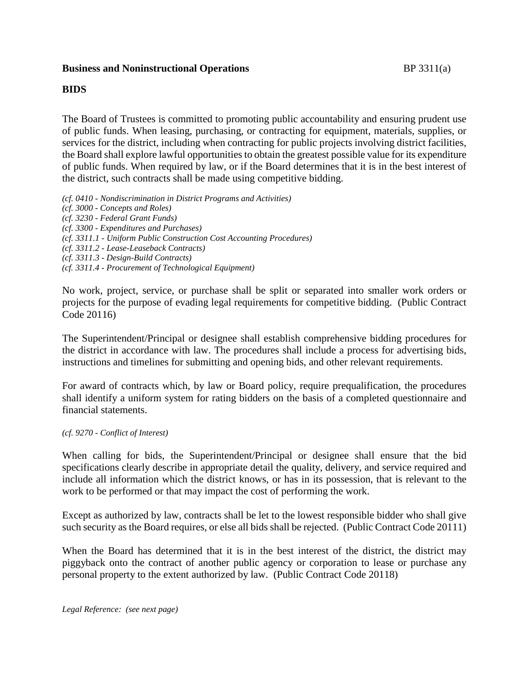### **Business and Noninstructional Operations** BP 3311(a)

#### **BIDS**

The Board of Trustees is committed to promoting public accountability and ensuring prudent use of public funds. When leasing, purchasing, or contracting for equipment, materials, supplies, or services for the district, including when contracting for public projects involving district facilities, the Board shall explore lawful opportunities to obtain the greatest possible value for its expenditure of public funds. When required by law, or if the Board determines that it is in the best interest of the district, such contracts shall be made using competitive bidding.

*(cf. 0410 - Nondiscrimination in District Programs and Activities) (cf. 3000 - Concepts and Roles)*

*(cf. 3230 - Federal Grant Funds)*

- *(cf. 3300 - Expenditures and Purchases)*
- *(cf. 3311.1 - Uniform Public Construction Cost Accounting Procedures)*
- *(cf. 3311.2 - Lease-Leaseback Contracts)*
- *(cf. 3311.3 - Design-Build Contracts)*
- *(cf. 3311.4 - Procurement of Technological Equipment)*

No work, project, service, or purchase shall be split or separated into smaller work orders or projects for the purpose of evading legal requirements for competitive bidding. (Public Contract Code 20116)

The Superintendent/Principal or designee shall establish comprehensive bidding procedures for the district in accordance with law. The procedures shall include a process for advertising bids, instructions and timelines for submitting and opening bids, and other relevant requirements.

For award of contracts which, by law or Board policy, require prequalification, the procedures shall identify a uniform system for rating bidders on the basis of a completed questionnaire and financial statements.

*(cf. 9270 - Conflict of Interest)*

When calling for bids, the Superintendent/Principal or designee shall ensure that the bid specifications clearly describe in appropriate detail the quality, delivery, and service required and include all information which the district knows, or has in its possession, that is relevant to the work to be performed or that may impact the cost of performing the work.

Except as authorized by law, contracts shall be let to the lowest responsible bidder who shall give such security as the Board requires, or else all bids shall be rejected. (Public Contract Code 20111)

When the Board has determined that it is in the best interest of the district, the district may piggyback onto the contract of another public agency or corporation to lease or purchase any personal property to the extent authorized by law. (Public Contract Code 20118)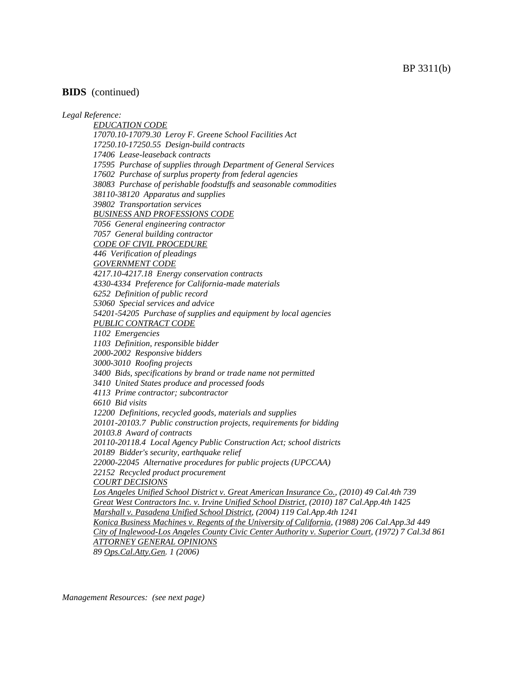#### **BIDS** (continued)

#### *Legal Reference:*

*EDUCATION CODE 17070.10-17079.30 Leroy F. Greene School Facilities Act 17250.10-17250.55 Design-build contracts 17406 Lease-leaseback contracts 17595 Purchase of supplies through Department of General Services 17602 Purchase of surplus property from federal agencies 38083 Purchase of perishable foodstuffs and seasonable commodities 38110-38120 Apparatus and supplies 39802 Transportation services BUSINESS AND PROFESSIONS CODE 7056 General engineering contractor 7057 General building contractor CODE OF CIVIL PROCEDURE 446 Verification of pleadings GOVERNMENT CODE 4217.10-4217.18 Energy conservation contracts 4330-4334 Preference for California-made materials 6252 Definition of public record 53060 Special services and advice 54201-54205 Purchase of supplies and equipment by local agencies PUBLIC CONTRACT CODE 1102 Emergencies 1103 Definition, responsible bidder 2000-2002 Responsive bidders 3000-3010 Roofing projects 3400 Bids, specifications by brand or trade name not permitted 3410 United States produce and processed foods 4113 Prime contractor; subcontractor 6610 Bid visits 12200 Definitions, recycled goods, materials and supplies 20101-20103.7 Public construction projects, requirements for bidding 20103.8 Award of contracts 20110-20118.4 Local Agency Public Construction Act; school districts 20189 Bidder's security, earthquake relief 22000-22045 Alternative procedures for public projects (UPCCAA) 22152 Recycled product procurement COURT DECISIONS Los Angeles Unified School District v. Great American Insurance Co., (2010) 49 Cal.4th 739 Great West Contractors Inc. v. Irvine Unified School District, (2010) 187 Cal.App.4th 1425 Marshall v. Pasadena Unified School District, (2004) 119 Cal.App.4th 1241 Konica Business Machines v. Regents of the University of California, (1988) 206 Cal.App.3d 449 City of Inglewood-Los Angeles County Civic Center Authority v. Superior Court, (1972) 7 Cal.3d 861 ATTORNEY GENERAL OPINIONS 89 Ops.Cal.Atty.Gen. 1 (2006)*

*Management Resources: (see next page)*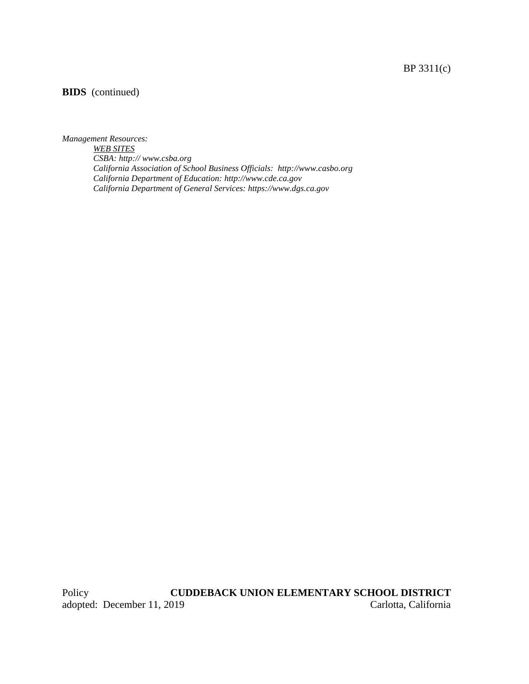# BP 3311(c)

## **BIDS** (continued)

#### *Management Resources:*

*WEB SITES CSBA: http:// www.csba.org California Association of School Business Officials: http://www.casbo.org California Department of Education: http://www.cde.ca.gov California Department of General Services: https://www.dgs.ca.gov*

Policy **CUDDEBACK UNION ELEMENTARY SCHOOL DISTRICT**<br>adopted: December 11, 2019 Carlotta, California adopted: December 11, 2019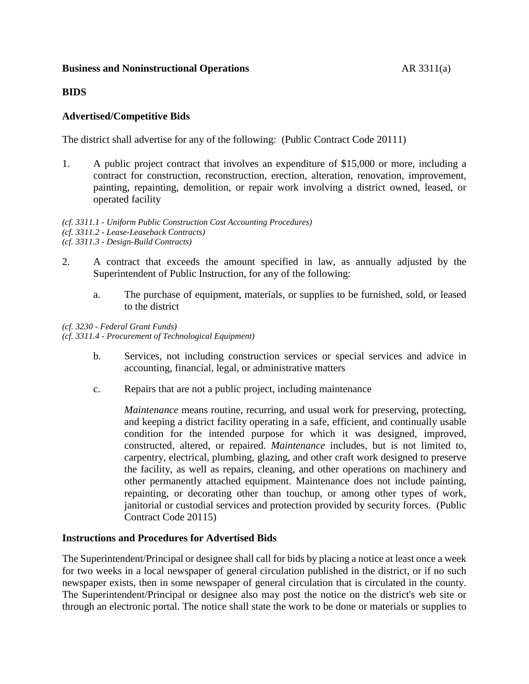### **Business and Noninstructional Operations AR 3311(a)**

### **BIDS**

### **Advertised/Competitive Bids**

The district shall advertise for any of the following: (Public Contract Code 20111)

1. A public project contract that involves an expenditure of \$15,000 or more, including a contract for construction, reconstruction, erection, alteration, renovation, improvement, painting, repainting, demolition, or repair work involving a district owned, leased, or operated facility

*(cf. 3311.1 - Uniform Public Construction Cost Accounting Procedures) (cf. 3311.2 - Lease-Leaseback Contracts) (cf. 3311.3 - Design-Build Contracts)*

- 2. A contract that exceeds the amount specified in law, as annually adjusted by the Superintendent of Public Instruction, for any of the following:
	- a. The purchase of equipment, materials, or supplies to be furnished, sold, or leased to the district

*(cf. 3230 - Federal Grant Funds) (cf. 3311.4 - Procurement of Technological Equipment)*

- b. Services, not including construction services or special services and advice in accounting, financial, legal, or administrative matters
- c. Repairs that are not a public project, including maintenance

*Maintenance* means routine, recurring, and usual work for preserving, protecting, and keeping a district facility operating in a safe, efficient, and continually usable condition for the intended purpose for which it was designed, improved, constructed, altered, or repaired. *Maintenance* includes, but is not limited to, carpentry, electrical, plumbing, glazing, and other craft work designed to preserve the facility, as well as repairs, cleaning, and other operations on machinery and other permanently attached equipment. Maintenance does not include painting, repainting, or decorating other than touchup, or among other types of work, janitorial or custodial services and protection provided by security forces. (Public Contract Code 20115)

#### **Instructions and Procedures for Advertised Bids**

The Superintendent/Principal or designee shall call for bids by placing a notice at least once a week for two weeks in a local newspaper of general circulation published in the district, or if no such newspaper exists, then in some newspaper of general circulation that is circulated in the county. The Superintendent/Principal or designee also may post the notice on the district's web site or through an electronic portal. The notice shall state the work to be done or materials or supplies to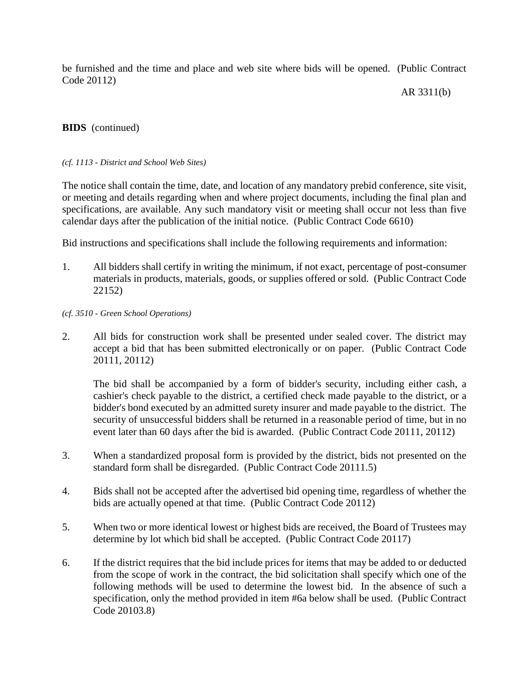be furnished and the time and place and web site where bids will be opened. (Public Contract Code 20112)

AR 3311(b)

### **BIDS** (continued)

#### *(cf. 1113 - District and School Web Sites)*

The notice shall contain the time, date, and location of any mandatory prebid conference, site visit, or meeting and details regarding when and where project documents, including the final plan and specifications, are available. Any such mandatory visit or meeting shall occur not less than five calendar days after the publication of the initial notice. (Public Contract Code 6610)

Bid instructions and specifications shall include the following requirements and information:

1. All bidders shall certify in writing the minimum, if not exact, percentage of post-consumer materials in products, materials, goods, or supplies offered or sold. (Public Contract Code 22152)

### *(cf. 3510 - Green School Operations)*

2. All bids for construction work shall be presented under sealed cover. The district may accept a bid that has been submitted electronically or on paper. (Public Contract Code 20111, 20112)

The bid shall be accompanied by a form of bidder's security, including either cash, a cashier's check payable to the district, a certified check made payable to the district, or a bidder's bond executed by an admitted surety insurer and made payable to the district. The security of unsuccessful bidders shall be returned in a reasonable period of time, but in no event later than 60 days after the bid is awarded. (Public Contract Code 20111, 20112)

- 3. When a standardized proposal form is provided by the district, bids not presented on the standard form shall be disregarded. (Public Contract Code 20111.5)
- 4. Bids shall not be accepted after the advertised bid opening time, regardless of whether the bids are actually opened at that time. (Public Contract Code 20112)
- 5. When two or more identical lowest or highest bids are received, the Board of Trustees may determine by lot which bid shall be accepted. (Public Contract Code 20117)
- 6. If the district requires that the bid include prices for items that may be added to or deducted from the scope of work in the contract, the bid solicitation shall specify which one of the following methods will be used to determine the lowest bid. In the absence of such a specification, only the method provided in item #6a below shall be used. (Public Contract Code 20103.8)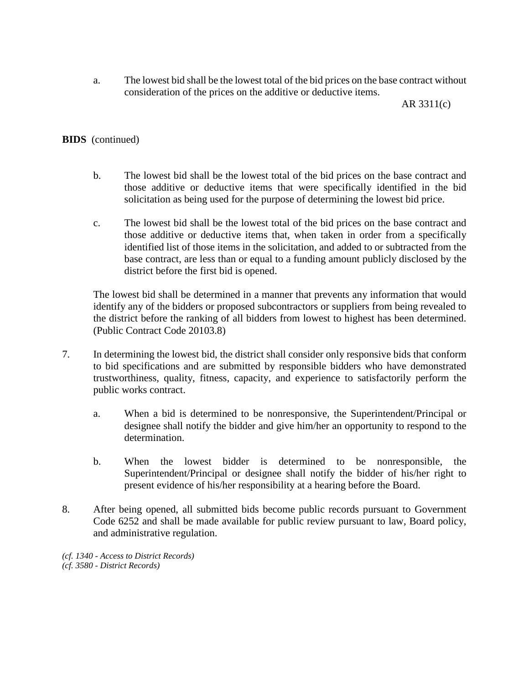a. The lowest bid shall be the lowest total of the bid prices on the base contract without consideration of the prices on the additive or deductive items.

AR 3311(c)

### **BIDS** (continued)

- b. The lowest bid shall be the lowest total of the bid prices on the base contract and those additive or deductive items that were specifically identified in the bid solicitation as being used for the purpose of determining the lowest bid price.
- c. The lowest bid shall be the lowest total of the bid prices on the base contract and those additive or deductive items that, when taken in order from a specifically identified list of those items in the solicitation, and added to or subtracted from the base contract, are less than or equal to a funding amount publicly disclosed by the district before the first bid is opened.

The lowest bid shall be determined in a manner that prevents any information that would identify any of the bidders or proposed subcontractors or suppliers from being revealed to the district before the ranking of all bidders from lowest to highest has been determined. (Public Contract Code 20103.8)

- 7. In determining the lowest bid, the district shall consider only responsive bids that conform to bid specifications and are submitted by responsible bidders who have demonstrated trustworthiness, quality, fitness, capacity, and experience to satisfactorily perform the public works contract.
	- a. When a bid is determined to be nonresponsive, the Superintendent/Principal or designee shall notify the bidder and give him/her an opportunity to respond to the determination.
	- b. When the lowest bidder is determined to be nonresponsible, the Superintendent/Principal or designee shall notify the bidder of his/her right to present evidence of his/her responsibility at a hearing before the Board.
- 8. After being opened, all submitted bids become public records pursuant to Government Code 6252 and shall be made available for public review pursuant to law, Board policy, and administrative regulation.
- *(cf. 1340 - Access to District Records) (cf. 3580 - District Records)*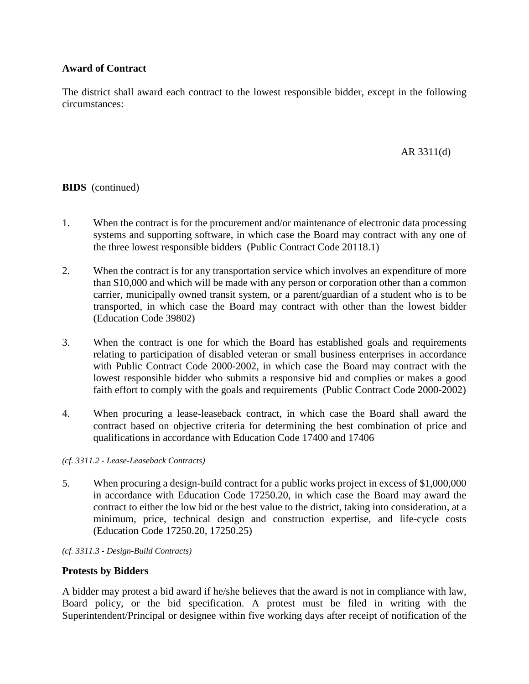## **Award of Contract**

The district shall award each contract to the lowest responsible bidder, except in the following circumstances:

### AR 3311(d)

### **BIDS** (continued)

- 1. When the contract is for the procurement and/or maintenance of electronic data processing systems and supporting software, in which case the Board may contract with any one of the three lowest responsible bidders (Public Contract Code 20118.1)
- 2. When the contract is for any transportation service which involves an expenditure of more than \$10,000 and which will be made with any person or corporation other than a common carrier, municipally owned transit system, or a parent/guardian of a student who is to be transported, in which case the Board may contract with other than the lowest bidder (Education Code 39802)
- 3. When the contract is one for which the Board has established goals and requirements relating to participation of disabled veteran or small business enterprises in accordance with Public Contract Code 2000-2002, in which case the Board may contract with the lowest responsible bidder who submits a responsive bid and complies or makes a good faith effort to comply with the goals and requirements (Public Contract Code 2000-2002)
- 4. When procuring a lease-leaseback contract, in which case the Board shall award the contract based on objective criteria for determining the best combination of price and qualifications in accordance with Education Code 17400 and 17406

*(cf. 3311.2 - Lease-Leaseback Contracts)*

5. When procuring a design-build contract for a public works project in excess of \$1,000,000 in accordance with Education Code 17250.20, in which case the Board may award the contract to either the low bid or the best value to the district, taking into consideration, at a minimum, price, technical design and construction expertise, and life-cycle costs (Education Code 17250.20, 17250.25)

*(cf. 3311.3 - Design-Build Contracts)*

#### **Protests by Bidders**

A bidder may protest a bid award if he/she believes that the award is not in compliance with law, Board policy, or the bid specification. A protest must be filed in writing with the Superintendent/Principal or designee within five working days after receipt of notification of the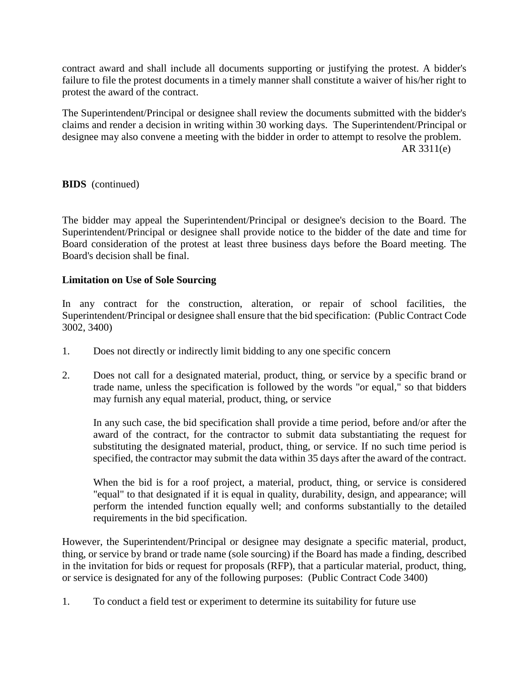contract award and shall include all documents supporting or justifying the protest. A bidder's failure to file the protest documents in a timely manner shall constitute a waiver of his/her right to protest the award of the contract.

The Superintendent/Principal or designee shall review the documents submitted with the bidder's claims and render a decision in writing within 30 working days. The Superintendent/Principal or designee may also convene a meeting with the bidder in order to attempt to resolve the problem. AR 3311(e)

**BIDS** (continued)

The bidder may appeal the Superintendent/Principal or designee's decision to the Board. The Superintendent/Principal or designee shall provide notice to the bidder of the date and time for Board consideration of the protest at least three business days before the Board meeting. The Board's decision shall be final.

## **Limitation on Use of Sole Sourcing**

In any contract for the construction, alteration, or repair of school facilities, the Superintendent/Principal or designee shall ensure that the bid specification: (Public Contract Code 3002, 3400)

- 1. Does not directly or indirectly limit bidding to any one specific concern
- 2. Does not call for a designated material, product, thing, or service by a specific brand or trade name, unless the specification is followed by the words "or equal," so that bidders may furnish any equal material, product, thing, or service

In any such case, the bid specification shall provide a time period, before and/or after the award of the contract, for the contractor to submit data substantiating the request for substituting the designated material, product, thing, or service. If no such time period is specified, the contractor may submit the data within 35 days after the award of the contract.

When the bid is for a roof project, a material, product, thing, or service is considered "equal" to that designated if it is equal in quality, durability, design, and appearance; will perform the intended function equally well; and conforms substantially to the detailed requirements in the bid specification.

However, the Superintendent/Principal or designee may designate a specific material, product, thing, or service by brand or trade name (sole sourcing) if the Board has made a finding, described in the invitation for bids or request for proposals (RFP), that a particular material, product, thing, or service is designated for any of the following purposes: (Public Contract Code 3400)

1. To conduct a field test or experiment to determine its suitability for future use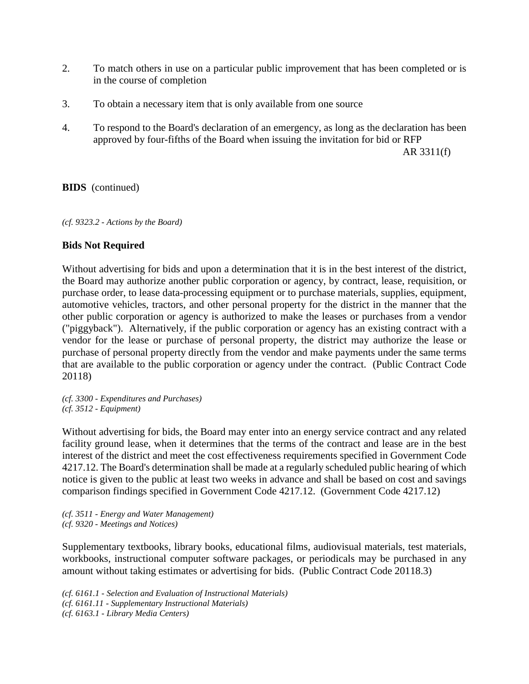- 2. To match others in use on a particular public improvement that has been completed or is in the course of completion
- 3. To obtain a necessary item that is only available from one source
- 4. To respond to the Board's declaration of an emergency, as long as the declaration has been approved by four-fifths of the Board when issuing the invitation for bid or RFP

AR 3311(f)

**BIDS** (continued)

*(cf. 9323.2 - Actions by the Board)*

### **Bids Not Required**

Without advertising for bids and upon a determination that it is in the best interest of the district, the Board may authorize another public corporation or agency, by contract, lease, requisition, or purchase order, to lease data-processing equipment or to purchase materials, supplies, equipment, automotive vehicles, tractors, and other personal property for the district in the manner that the other public corporation or agency is authorized to make the leases or purchases from a vendor ("piggyback"). Alternatively, if the public corporation or agency has an existing contract with a vendor for the lease or purchase of personal property, the district may authorize the lease or purchase of personal property directly from the vendor and make payments under the same terms that are available to the public corporation or agency under the contract. (Public Contract Code 20118)

*(cf. 3300 - Expenditures and Purchases) (cf. 3512 - Equipment)*

Without advertising for bids, the Board may enter into an energy service contract and any related facility ground lease, when it determines that the terms of the contract and lease are in the best interest of the district and meet the cost effectiveness requirements specified in Government Code 4217.12. The Board's determination shall be made at a regularly scheduled public hearing of which notice is given to the public at least two weeks in advance and shall be based on cost and savings comparison findings specified in Government Code 4217.12. (Government Code 4217.12)

*(cf. 3511 - Energy and Water Management) (cf. 9320 - Meetings and Notices)*

Supplementary textbooks, library books, educational films, audiovisual materials, test materials, workbooks, instructional computer software packages, or periodicals may be purchased in any amount without taking estimates or advertising for bids. (Public Contract Code 20118.3)

*(cf. 6161.1 - Selection and Evaluation of Instructional Materials) (cf. 6161.11 - Supplementary Instructional Materials) (cf. 6163.1 - Library Media Centers)*